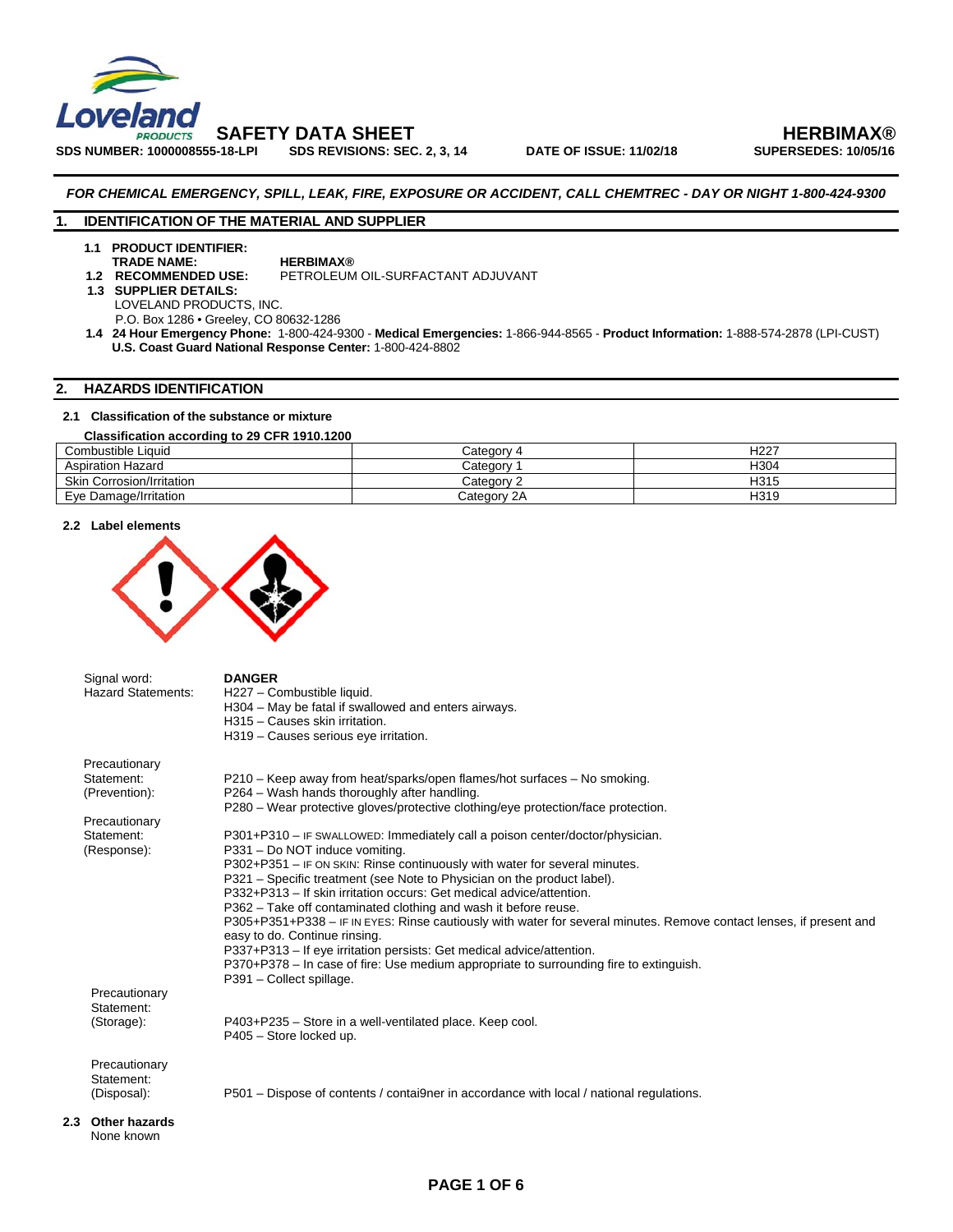

**SDS NUMBER: 1000008555-18-LPI** 

 **SAFETY DATA SHEET HERBIMAX®** 

*FOR CHEMICAL EMERGENCY, SPILL, LEAK, FIRE, EXPOSURE OR ACCIDENT, CALL CHEMTREC - DAY OR NIGHT 1-800-424-9300* 

# **1. IDENTIFICATION OF THE MATERIAL AND SUPPLIER**

**1.1 PRODUCT IDENTIFIER: TRADE NAME: HERBIMAX®**<br>1.2 RECOMMENDED USE: PETROLEUM

**PETROLEUM OIL-SURFACTANT ADJUVANT** 

 **1.3 SUPPLIER DETAILS:** LOVELAND PRODUCTS, INC.

P.O. Box 1286 • Greeley, CO 80632-1286

 **1.4 24 Hour Emergency Phone:** 1-800-424-9300 - **Medical Emergencies:** 1-866-944-8565 - **Product Information:** 1-888-574-2878 (LPI-CUST) **U.S. Coast Guard National Response Center:** 1-800-424-8802

# **2. HAZARDS IDENTIFICATION**

# **2.1 Classification of the substance or mixture**

### **Classification according to 29 CFR 1910.1200**  Combustible Liquid Category 4 H227<br>
Aspiration Hazard Category 1 H304 Aspiration Hazard **Expiration Hazard Category 1** H304<br>
Skin Corrosion/Irritation **Hazard Category 2** H315 Skin Corrosion/Irritation Eye Damage/Irritation Category 2A H319

### **2.2 Label elements**



|     | Signal word:<br><b>Hazard Statements:</b> | <b>DANGER</b><br>H227 - Combustible liquid.                                                                         |
|-----|-------------------------------------------|---------------------------------------------------------------------------------------------------------------------|
|     |                                           | H304 – May be fatal if swallowed and enters airways.                                                                |
|     |                                           | H315 - Causes skin irritation.                                                                                      |
|     |                                           | H319 - Causes serious eye irritation.                                                                               |
|     | Precautionary                             |                                                                                                                     |
|     | Statement:                                | P210 – Keep away from heat/sparks/open flames/hot surfaces – No smoking.                                            |
|     | (Prevention):                             | P264 – Wash hands thoroughly after handling.                                                                        |
|     |                                           | P280 - Wear protective gloves/protective clothing/eye protection/face protection.                                   |
|     | Precautionary                             |                                                                                                                     |
|     | Statement:                                | P301+P310 - IF SWALLOWED: Immediately call a poison center/doctor/physician.                                        |
|     | (Response):                               | P331 - Do NOT induce vomiting.                                                                                      |
|     |                                           | P302+P351 - IF ON SKIN: Rinse continuously with water for several minutes.                                          |
|     |                                           | P321 – Specific treatment (see Note to Physician on the product label).                                             |
|     |                                           | P332+P313 – If skin irritation occurs: Get medical advice/attention.                                                |
|     |                                           | P362 – Take off contaminated clothing and wash it before reuse.                                                     |
|     |                                           | P305+P351+P338 – IF IN EYES: Rinse cautiously with water for several minutes. Remove contact lenses, if present and |
|     |                                           | easy to do. Continue rinsing.                                                                                       |
|     |                                           | P337+P313 - If eye irritation persists: Get medical advice/attention.                                               |
|     |                                           | P370+P378 – In case of fire: Use medium appropriate to surrounding fire to extinguish.<br>P391 - Collect spillage.  |
|     | Precautionary                             |                                                                                                                     |
|     | Statement:                                |                                                                                                                     |
|     | (Storage):                                | P403+P235 - Store in a well-ventilated place. Keep cool.                                                            |
|     |                                           | P405 - Store locked up.                                                                                             |
|     |                                           |                                                                                                                     |
|     | Precautionary                             |                                                                                                                     |
|     | Statement:                                |                                                                                                                     |
|     | (Disposal):                               | P501 – Dispose of contents / contai9ner in accordance with local / national regulations.                            |
|     |                                           |                                                                                                                     |
| 2.3 | <b>Other hazards</b>                      |                                                                                                                     |
|     | None known                                |                                                                                                                     |

**PAGE 1 OF 6**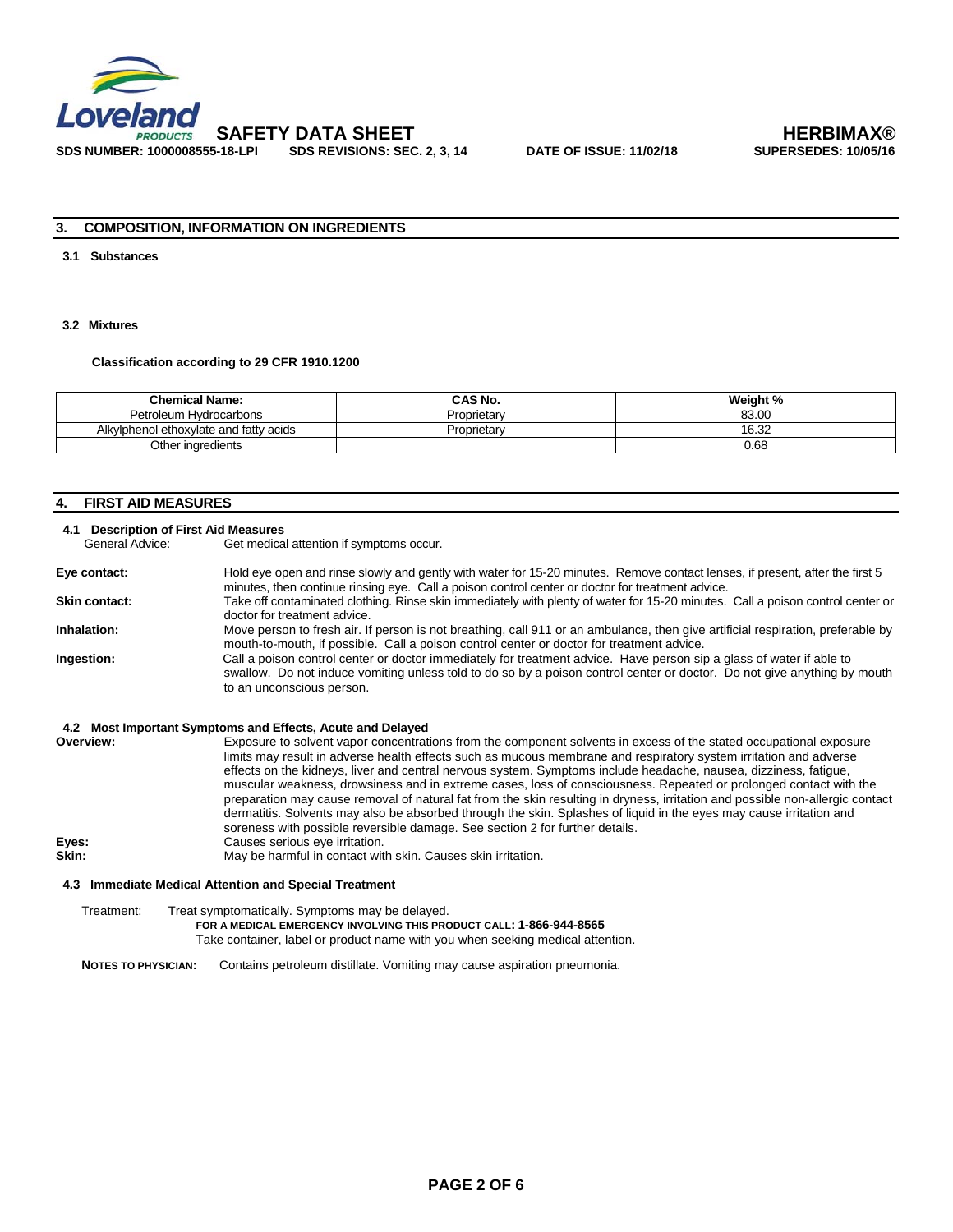

**SDS REVISIONS: SEC. 2, 3, 14** 

# **3. COMPOSITION, INFORMATION ON INGREDIENTS**

# **3.1 Substances**

# **3.2 Mixtures**

**Classification according to 29 CFR 1910.1200** 

| <b>Chemical Name:</b>                  | CAS No.     | Weight % |
|----------------------------------------|-------------|----------|
| Petroleum Hydrocarbons                 | Proprietarv | 83.00    |
| Alkylphenol ethoxylate and fatty acids | Proprietary | 16.32    |
| Other ingredients                      |             | 0.68     |

# **4. FIRST AID MEASURES**

# **4.1 Description of First Aid Measures**

Get medical attention if symptoms occur.

| Eye contact:  | Hold eye open and rinse slowly and gently with water for 15-20 minutes. Remove contact lenses, if present, after the first 5<br>minutes, then continue rinsing eye. Call a poison control center or doctor for treatment advice.                                              |
|---------------|-------------------------------------------------------------------------------------------------------------------------------------------------------------------------------------------------------------------------------------------------------------------------------|
| Skin contact: | Take off contaminated clothing. Rinse skin immediately with plenty of water for 15-20 minutes. Call a poison control center or<br>doctor for treatment advice.                                                                                                                |
| Inhalation:   | Move person to fresh air. If person is not breathing, call 911 or an ambulance, then give artificial respiration, preferable by<br>mouth-to-mouth, if possible. Call a poison control center or doctor for treatment advice.                                                  |
| Ingestion:    | Call a poison control center or doctor immediately for treatment advice. Have person sip a glass of water if able to<br>swallow. Do not induce vomiting unless told to do so by a poison control center or doctor. Do not give anything by mouth<br>to an unconscious person. |

### **4.2 Most Important Symptoms and Effects, Acute and Delayed**

| Overview: | Exposure to solvent vapor concentrations from the component solvents in excess of the stated occupational exposure            |
|-----------|-------------------------------------------------------------------------------------------------------------------------------|
|           |                                                                                                                               |
|           | limits may result in adverse health effects such as mucous membrane and respiratory system irritation and adverse             |
|           | effects on the kidneys, liver and central nervous system. Symptoms include headache, nausea, dizziness, fatigue,              |
|           | muscular weakness, drowsiness and in extreme cases, loss of consciousness. Repeated or prolonged contact with the             |
|           | preparation may cause removal of natural fat from the skin resulting in dryness, irritation and possible non-allergic contact |
|           | dermatitis. Solvents may also be absorbed through the skin. Splashes of liquid in the eyes may cause irritation and           |
|           | soreness with possible reversible damage. See section 2 for further details.                                                  |
| Eyes:     | Causes serious eye irritation.                                                                                                |
| Skin:     | May be harmful in contact with skin. Causes skin irritation.                                                                  |

### **4.3 Immediate Medical Attention and Special Treatment**

Treatment: Treat symptomatically. Symptoms may be delayed.  **FOR A MEDICAL EMERGENCY INVOLVING THIS PRODUCT CALL: 1-866-944-8565**  Take container, label or product name with you when seeking medical attention.

**NOTES TO PHYSICIAN:** Contains petroleum distillate. Vomiting may cause aspiration pneumonia.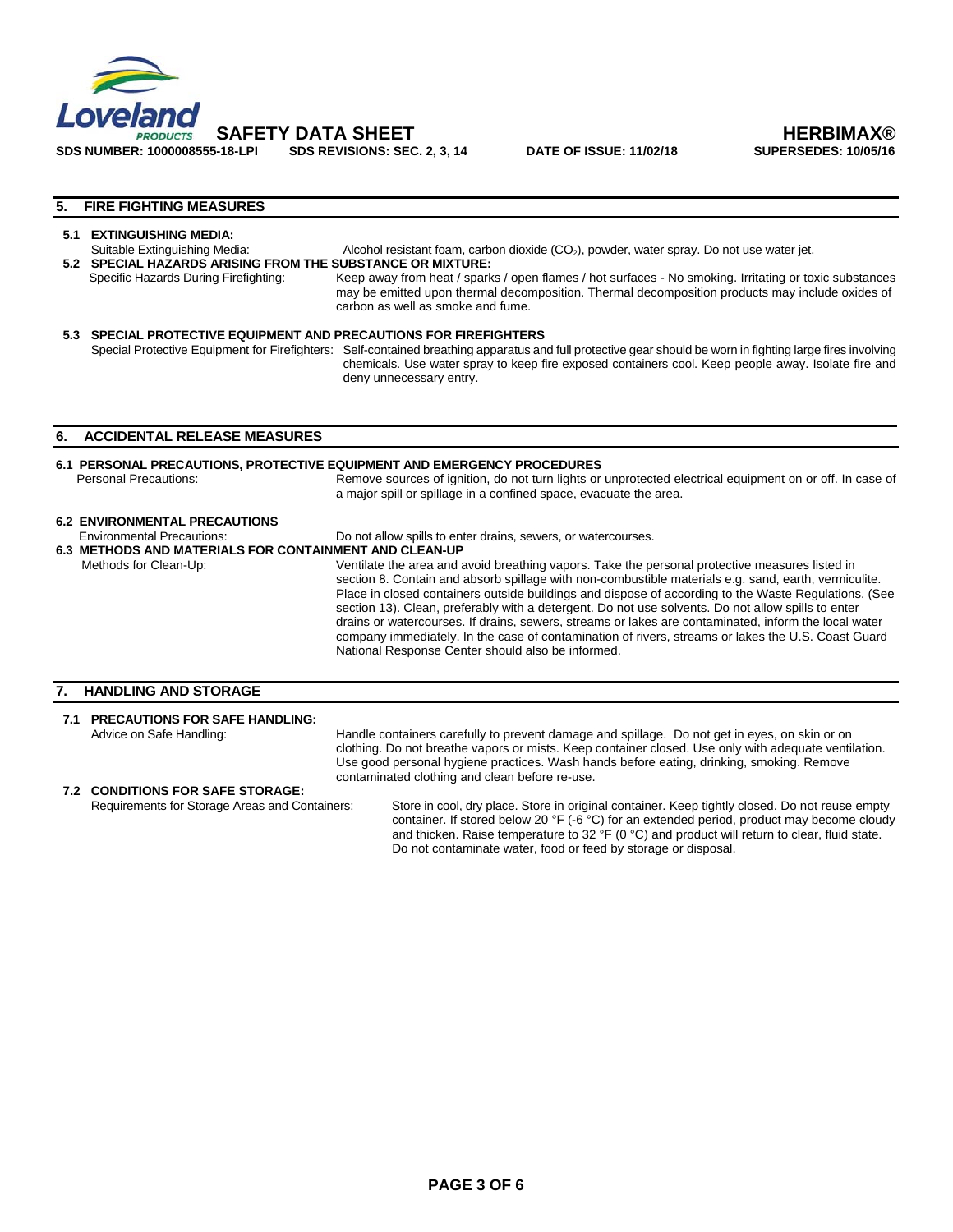

**SDS REVISIONS: SEC. 2, 3, 14** 

 **SAFETY DATA SHEET HERBIMAX®** 

# **5. FIRE FIGHTING MEASURES**

### **5.1 EXTINGUISHING MEDIA:**

- Suitable Extinguishing Media: Alcohol resistant foam, carbon dioxide (CO<sub>2</sub>), powder, water spray. Do not use water jet. **5.2 SPECIAL HAZARDS ARISING FROM THE SUBSTANCE OR MIXTURE:**  Specific Hazards During Firefighting: Keep away from heat / sparks / open flames / hot surfaces - No smoking. Irritating or toxic substances may be emitted upon thermal decomposition. Thermal decomposition products may include oxides of carbon as well as smoke and fume.
- **5.3 SPECIAL PROTECTIVE EQUIPMENT AND PRECAUTIONS FOR FIREFIGHTERS**  Special Protective Equipment for Firefighters: Self-contained breathing apparatus and full protective gear should be worn in fighting large fires involving chemicals. Use water spray to keep fire exposed containers cool. Keep people away. Isolate fire and deny unnecessary entry.

### **6. ACCIDENTAL RELEASE MEASURES**

**6.1 PERSONAL PRECAUTIONS, PROTECTIVE EQUIPMENT AND EMERGENCY PROCEDURES**<br>Personal Precautions: **Remove sources of ignition** do not turn lights or Remove sources of ignition, do not turn lights or unprotected electrical equipment on or off. In case of a major spill or spillage in a confined space, evacuate the area.

### **6.2 ENVIRONMENTAL PRECAUTIONS**

- Environmental Precautions: Do not allow spills to enter drains, sewers, or watercourses. **6.3 METHODS AND MATERIALS FOR CONTAINMENT AND CLEAN-UP**
- Methods for Clean-Up: Ventilate the area and avoid breathing vapors. Take the personal protective measures listed in section 8. Contain and absorb spillage with non-combustible materials e.g. sand, earth, vermiculite. Place in closed containers outside buildings and dispose of according to the Waste Regulations. (See section 13). Clean, preferably with a detergent. Do not use solvents. Do not allow spills to enter drains or watercourses. If drains, sewers, streams or lakes are contaminated, inform the local water company immediately. In the case of contamination of rivers, streams or lakes the U.S. Coast Guard National Response Center should also be informed.

### **7. HANDLING AND STORAGE**

# **7.1 PRECAUTIONS FOR SAFE HANDLING:**

Advice on Safe Handling: Handle containers carefully to prevent damage and spillage. Do not get in eyes, on skin or on clothing. Do not breathe vapors or mists. Keep container closed. Use only with adequate ventilation. Use good personal hygiene practices. Wash hands before eating, drinking, smoking. Remove contaminated clothing and clean before re-use.

# **7.2 CONDITIONS FOR SAFE STORAGE:**

Store in cool, dry place. Store in original container. Keep tightly closed. Do not reuse empty container. If stored below 20 °F (-6 °C) for an extended period, product may become cloudy and thicken. Raise temperature to 32 °F (0 °C) and product will return to clear, fluid state. Do not contaminate water, food or feed by storage or disposal.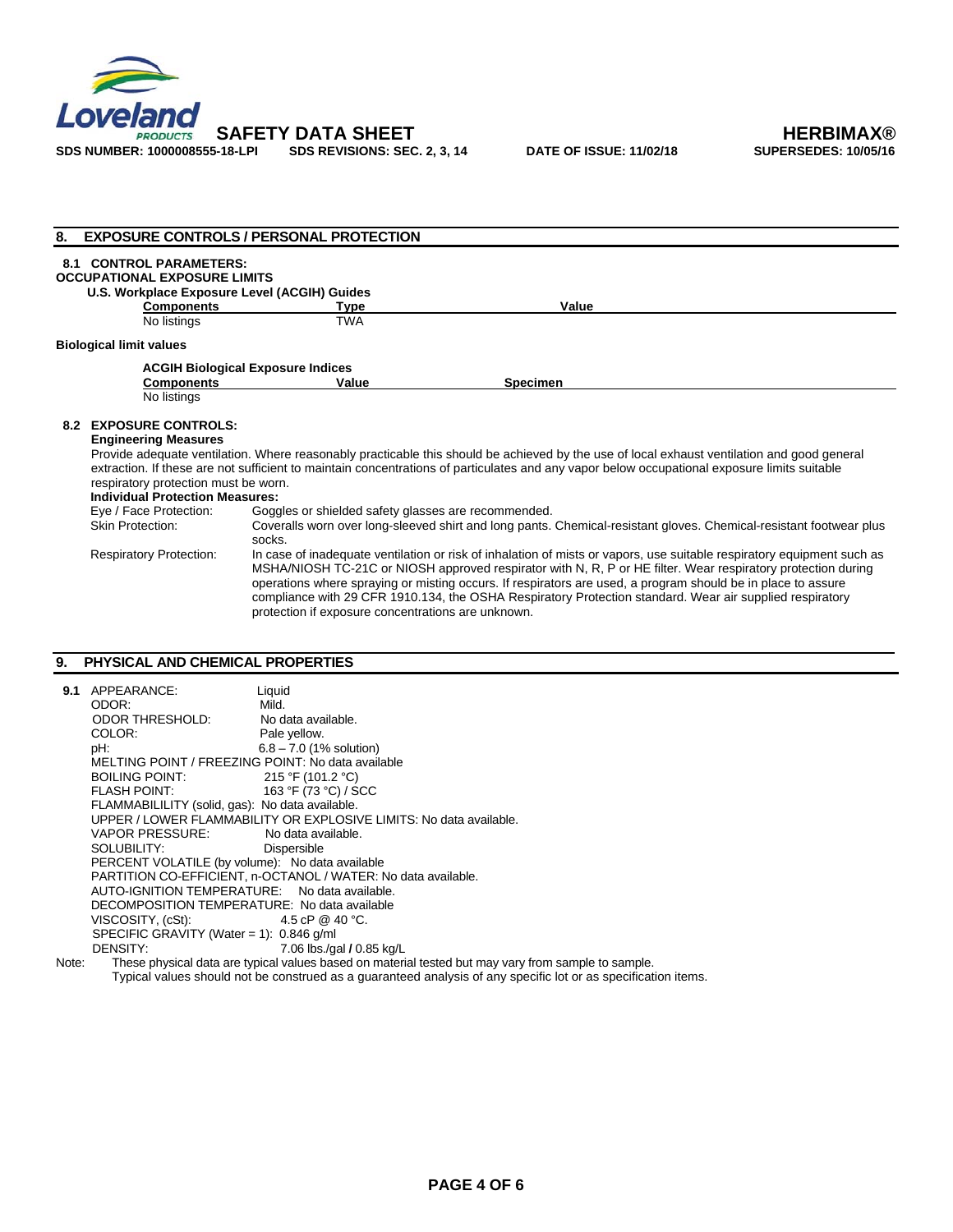

| 8. |                                                                                                                                                                                                                                                                                                                                                                                                                                                                                                                                                            | <b>EXPOSURE CONTROLS / PERSONAL PROTECTION</b>      |                                                                                                                                              |  |
|----|------------------------------------------------------------------------------------------------------------------------------------------------------------------------------------------------------------------------------------------------------------------------------------------------------------------------------------------------------------------------------------------------------------------------------------------------------------------------------------------------------------------------------------------------------------|-----------------------------------------------------|----------------------------------------------------------------------------------------------------------------------------------------------|--|
|    | <b>8.1 CONTROL PARAMETERS:</b><br><b>OCCUPATIONAL EXPOSURE LIMITS</b><br>U.S. Workplace Exposure Level (ACGIH) Guides<br><b>Components</b><br>No listings                                                                                                                                                                                                                                                                                                                                                                                                  | <b>Type</b><br><b>TWA</b>                           | Value                                                                                                                                        |  |
|    | <b>Biological limit values</b>                                                                                                                                                                                                                                                                                                                                                                                                                                                                                                                             |                                                     |                                                                                                                                              |  |
|    |                                                                                                                                                                                                                                                                                                                                                                                                                                                                                                                                                            | <b>ACGIH Biological Exposure Indices</b>            |                                                                                                                                              |  |
|    | <b>Components</b>                                                                                                                                                                                                                                                                                                                                                                                                                                                                                                                                          | Value                                               | <b>Specimen</b>                                                                                                                              |  |
|    | No listings                                                                                                                                                                                                                                                                                                                                                                                                                                                                                                                                                |                                                     |                                                                                                                                              |  |
|    |                                                                                                                                                                                                                                                                                                                                                                                                                                                                                                                                                            |                                                     |                                                                                                                                              |  |
|    | <b>8.2 EXPOSURE CONTROLS:</b>                                                                                                                                                                                                                                                                                                                                                                                                                                                                                                                              |                                                     |                                                                                                                                              |  |
|    | <b>Engineering Measures</b>                                                                                                                                                                                                                                                                                                                                                                                                                                                                                                                                |                                                     | Provide adequate ventilation. Where reasonably practicable this should be achieved by the use of local exhaust ventilation and good general  |  |
|    |                                                                                                                                                                                                                                                                                                                                                                                                                                                                                                                                                            |                                                     | extraction. If these are not sufficient to maintain concentrations of particulates and any vapor below occupational exposure limits suitable |  |
|    | respiratory protection must be worn.                                                                                                                                                                                                                                                                                                                                                                                                                                                                                                                       |                                                     |                                                                                                                                              |  |
|    | <b>Individual Protection Measures:</b>                                                                                                                                                                                                                                                                                                                                                                                                                                                                                                                     |                                                     |                                                                                                                                              |  |
|    | Eye / Face Protection:                                                                                                                                                                                                                                                                                                                                                                                                                                                                                                                                     | Goggles or shielded safety glasses are recommended. |                                                                                                                                              |  |
|    | <b>Skin Protection:</b>                                                                                                                                                                                                                                                                                                                                                                                                                                                                                                                                    | socks.                                              | Coveralls worn over long-sleeved shirt and long pants. Chemical-resistant gloves. Chemical-resistant footwear plus                           |  |
|    | In case of inadequate ventilation or risk of inhalation of mists or vapors, use suitable respiratory equipment such as<br><b>Respiratory Protection:</b><br>MSHA/NIOSH TC-21C or NIOSH approved respirator with N, R, P or HE filter. Wear respiratory protection during<br>operations where spraying or misting occurs. If respirators are used, a program should be in place to assure<br>compliance with 29 CFR 1910.134, the OSHA Respiratory Protection standard. Wear air supplied respiratory<br>protection if exposure concentrations are unknown. |                                                     |                                                                                                                                              |  |

# **9. PHYSICAL AND CHEMICAL PROPERTIES**

|                                                               | 9.1 APPEARANCE:                                                                  | Liquid                                                                                              |  |
|---------------------------------------------------------------|----------------------------------------------------------------------------------|-----------------------------------------------------------------------------------------------------|--|
|                                                               | ODOR:                                                                            | Mild.                                                                                               |  |
|                                                               | ODOR THRESHOLD:                                                                  | No data available.                                                                                  |  |
|                                                               | COLOR:                                                                           | Pale yellow.                                                                                        |  |
|                                                               | pH:                                                                              | $6.8 - 7.0$ (1% solution)                                                                           |  |
|                                                               | MELTING POINT / FREEZING POINT: No data available                                |                                                                                                     |  |
|                                                               | BOILING POINT: $215 \text{ }^{\circ}F(101.2 \text{ }^{\circ}C)$                  |                                                                                                     |  |
|                                                               | FLASH POINT: $163 \text{ }^\circ \text{F}$ (73 $\text{ }^\circ \text{C}$ ) / SCC |                                                                                                     |  |
|                                                               | FLAMMABILILITY (solid, gas): No data available.                                  |                                                                                                     |  |
|                                                               |                                                                                  | UPPER / LOWER FLAMMABILITY OR EXPLOSIVE LIMITS: No data available.                                  |  |
|                                                               | VAPOR PRESSURE:                                                                  | No data available.                                                                                  |  |
|                                                               | SOLUBILITY: Dispersible                                                          |                                                                                                     |  |
|                                                               | PERCENT VOLATILE (by volume): No data available                                  |                                                                                                     |  |
| PARTITION CO-EFFICIENT, n-OCTANOL / WATER: No data available. |                                                                                  |                                                                                                     |  |
| AUTO-IGNITION TEMPERATURE: No data available.                 |                                                                                  |                                                                                                     |  |
|                                                               | DECOMPOSITION TEMPERATURE: No data available                                     |                                                                                                     |  |
|                                                               | VISCOSITY, $(cSt)$ : 4.5 cP @ 40 °C.                                             |                                                                                                     |  |
| SPECIFIC GRAVITY (Water = 1): $0.846$ g/ml                    |                                                                                  |                                                                                                     |  |
|                                                               | DENSITY:                                                                         | 7.06 lbs./gal / 0.85 kg/L                                                                           |  |
| Note:                                                         |                                                                                  | These physical data are typical values based on material tested but may vary from sample to sample. |  |
|                                                               |                                                                                  |                                                                                                     |  |

Typical values should not be construed as a guaranteed analysis of any specific lot or as specification items.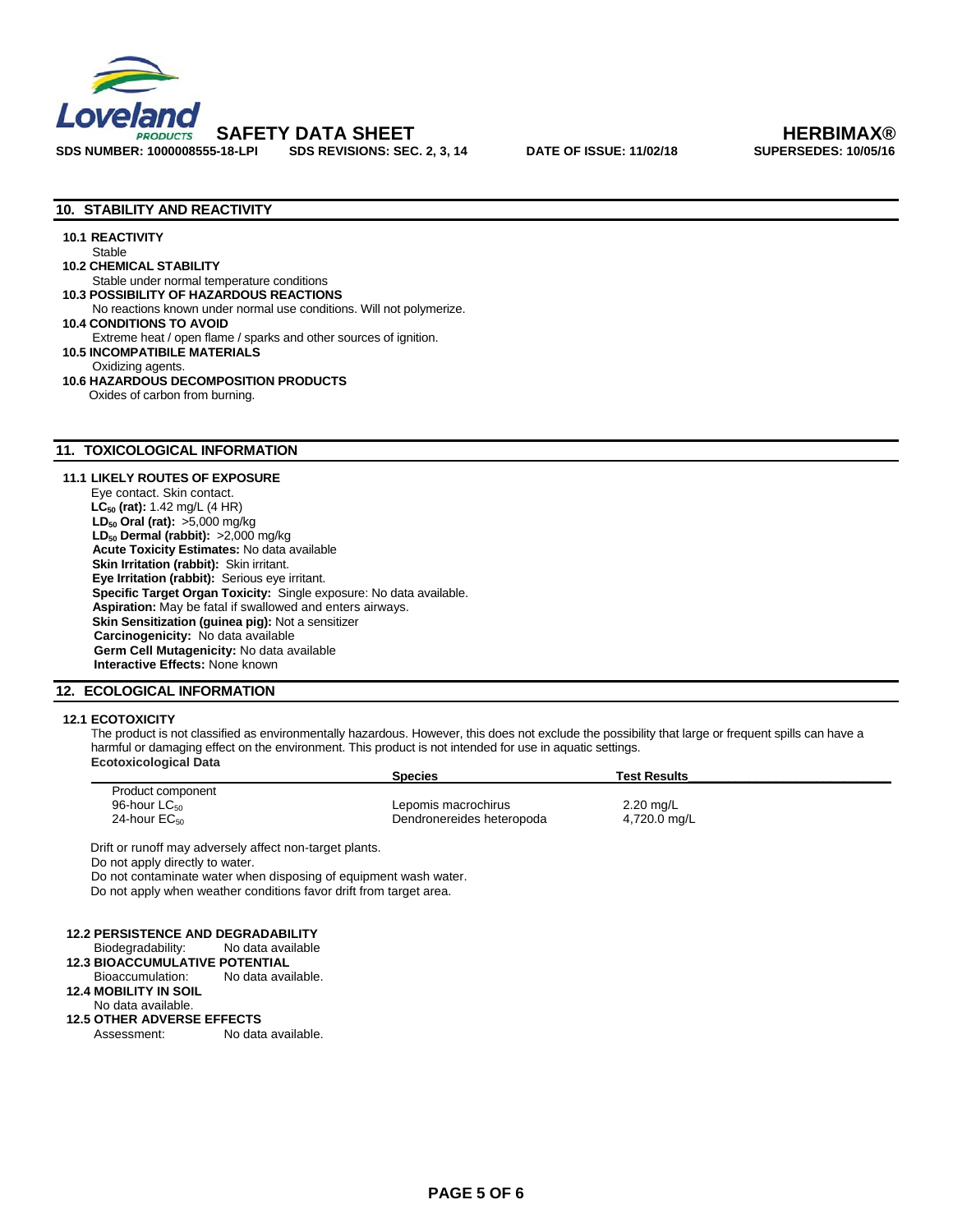

### **10. STABILITY AND REACTIVITY**

#### **10.1 REACTIVITY Stable**

 **10.2 CHEMICAL STABILITY** 

Stable under normal temperature conditions **10.3 POSSIBILITY OF HAZARDOUS REACTIONS** 

No reactions known under normal use conditions. Will not polymerize. **10.4 CONDITIONS TO AVOID** 

Extreme heat / open flame / sparks and other sources of ignition.

 **10.5 INCOMPATIBILE MATERIALS** 

Oxidizing agents.

 **10.6 HAZARDOUS DECOMPOSITION PRODUCTS**  Oxides of carbon from burning.

### **11. TOXICOLOGICAL INFORMATION**

### **11.1 LIKELY ROUTES OF EXPOSURE**

Eye contact. Skin contact. **LC<sub>50</sub>** (rat): 1.42 mg/L (4 HR) **LD<sub>50</sub> Oral (rat):** >5,000 mg/kg LD<sub>50</sub> Dermal (rabbit): >2,000 mg/kg **Acute Toxicity Estimates:** No data available **Skin Irritation (rabbit):** Skin irritant.  **Eye Irritation (rabbit):** Serious eye irritant.  **Specific Target Organ Toxicity:** Single exposure: No data available. **Aspiration:** May be fatal if swallowed and enters airways. **Skin Sensitization (guinea pig):** Not a sensitizer  **Carcinogenicity:** No data available **Germ Cell Mutagenicity:** No data available **Interactive Effects:** None known

### **12. ECOLOGICAL INFORMATION**

### **12.1 ECOTOXICITY**

The product is not classified as environmentally hazardous. However, this does not exclude the possibility that large or frequent spills can have a harmful or damaging effect on the environment. This product is not intended for use in aquatic settings. **Ecotoxicological Data** 

|                          | <b>Species</b>            | Test Results |  |
|--------------------------|---------------------------|--------------|--|
| Product component        |                           |              |  |
| 96-hour LC <sub>50</sub> | Lepomis macrochirus       | $2.20$ mg/L  |  |
| 24-hour $EC_{50}$        | Dendronereides heteropoda | 4,720.0 mg/L |  |

Drift or runoff may adversely affect non-target plants.

Do not apply directly to water.

Do not contaminate water when disposing of equipment wash water. Do not apply when weather conditions favor drift from target area.

```
 12.2 PERSISTENCE AND DEGRADABILITY
```
**Biodegradability:** 

## **12.3 BIOACCUMULATIVE POTENTIAL**

Bioaccumulation: No data available.

**12.4 MOBILITY IN SOIL**

No data available.

- **12.5 OTHER ADVERSE EFFECTS**
- Assessment: No data available.